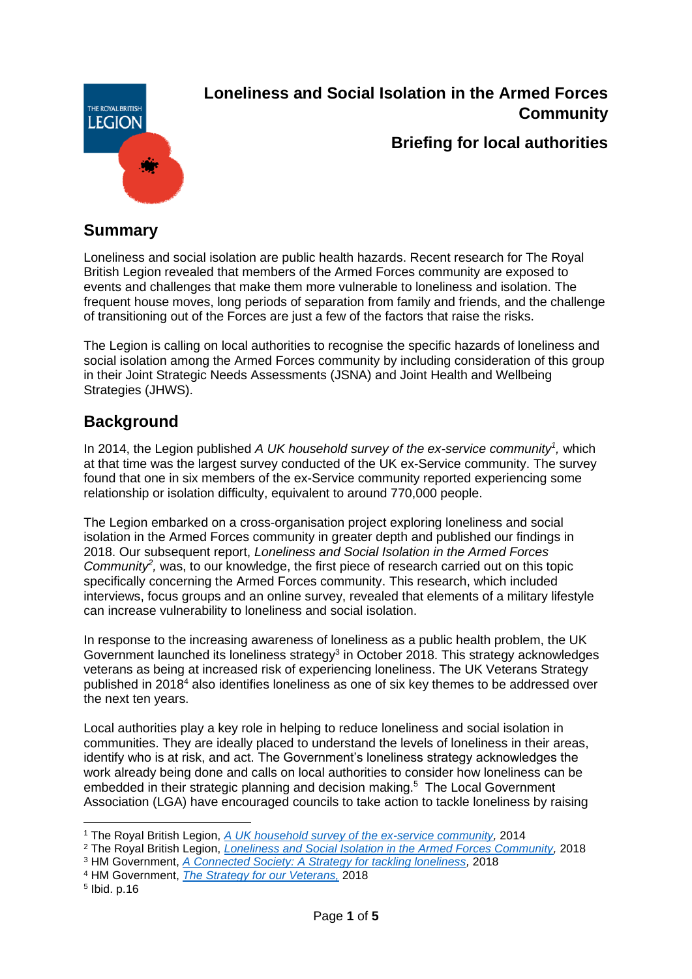

# **Loneliness and Social Isolation in the Armed Forces Community**

## **Briefing for local authorities**

# **Summary**

Loneliness and social isolation are public health hazards. Recent research for The Royal British Legion revealed that members of the Armed Forces community are exposed to events and challenges that make them more vulnerable to loneliness and isolation. The frequent house moves, long periods of separation from family and friends, and the challenge of transitioning out of the Forces are just a few of the factors that raise the risks.

The Legion is calling on local authorities to recognise the specific hazards of loneliness and social isolation among the Armed Forces community by including consideration of this group in their Joint Strategic Needs Assessments (JSNA) and Joint Health and Wellbeing Strategies (JHWS).

# **Background**

In 2014, the Legion published *A UK household survey of the ex-service community<sup>1</sup> ,* which at that time was the largest survey conducted of the UK ex-Service community. The survey found that one in six members of the ex-Service community reported experiencing some relationship or isolation difficulty, equivalent to around 770,000 people.

The Legion embarked on a cross-organisation project exploring loneliness and social isolation in the Armed Forces community in greater depth and published our findings in 2018. Our subsequent report, *Loneliness and Social Isolation in the Armed Forces* Community<sup>2</sup>, was, to our knowledge, the first piece of research carried out on this topic specifically concerning the Armed Forces community. This research, which included interviews, focus groups and an online survey, revealed that elements of a military lifestyle can increase vulnerability to loneliness and social isolation.

In response to the increasing awareness of loneliness as a public health problem, the UK Government launched its loneliness strategy<sup>3</sup> in October 2018. This strategy acknowledges veterans as being at increased risk of experiencing loneliness. The UK Veterans Strategy published in 2018 $4$  also identifies loneliness as one of six key themes to be addressed over the next ten years.

Local authorities play a key role in helping to reduce loneliness and social isolation in communities. They are ideally placed to understand the levels of loneliness in their areas, identify who is at risk, and act. The Government's loneliness strategy acknowledges the work already being done and calls on local authorities to consider how loneliness can be embedded in their strategic planning and decision making. 5 The Local Government Association (LGA) have encouraged councils to take action to tackle loneliness by raising

- <sup>2</sup> The Royal British Legion, *[Loneliness and Social Isolation in the Armed Forces Community,](https://www.britishlegion.org.uk/get-involved/campaign/loneliness-and-social-isolation/)* 2018
- <sup>3</sup> HM Government, *[A Connected Society: A Strategy for tackling loneliness,](https://www.gov.uk/government/publications/a-connected-society-a-strategy-for-tackling-loneliness)* 2018
- <sup>4</sup> HM Government, *[The Strategy for our Veterans,](https://assets.publishing.service.gov.uk/government/uploads/system/uploads/attachment_data/file/755915/Strategy_for_our_Veterans_FINAL_08.11.18_WEB.pdf)* 2018
- 5 Ibid. p.16

<sup>1</sup> The Royal British Legion, *[A UK household survey of the ex-service community,](https://www.britishlegion.org.uk/get-involved/campaign/public-policy-and-research/the-uk-ex-service-community-a-household-survey/)* 2014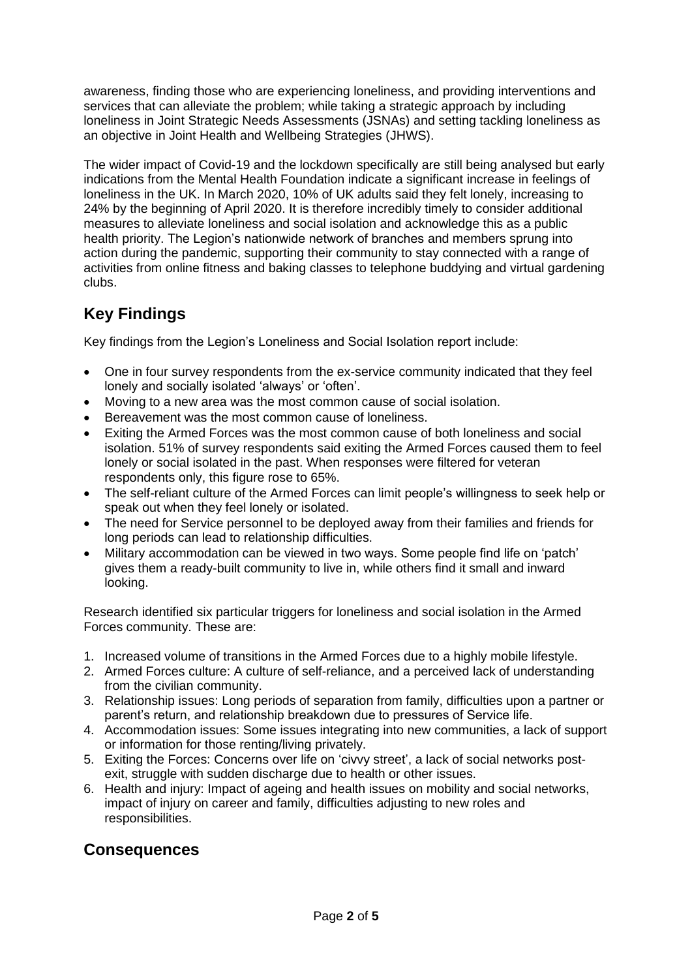awareness, finding those who are experiencing loneliness, and providing interventions and services that can alleviate the problem; while taking a strategic approach by including loneliness in Joint Strategic Needs Assessments (JSNAs) and setting tackling loneliness as an objective in Joint Health and Wellbeing Strategies (JHWS).

The wider impact of Covid-19 and the lockdown specifically are still being analysed but early indications from the Mental Health Foundation indicate a significant increase in feelings of loneliness in the UK. In March 2020, 10% of UK adults said they felt lonely, increasing to 24% by the beginning of April 2020. It is therefore incredibly timely to consider additional measures to alleviate loneliness and social isolation and acknowledge this as a public health priority. The Legion's nationwide network of branches and members sprung into action during the pandemic, supporting their community to stay connected with a range of activities from online fitness and baking classes to telephone buddying and virtual gardening clubs.

# **Key Findings**

Key findings from the Legion's Loneliness and Social Isolation report include:

- One in four survey respondents from the ex-service community indicated that they feel lonely and socially isolated 'always' or 'often'.
- Moving to a new area was the most common cause of social isolation.
- Bereavement was the most common cause of loneliness.
- Exiting the Armed Forces was the most common cause of both loneliness and social isolation. 51% of survey respondents said exiting the Armed Forces caused them to feel lonely or social isolated in the past. When responses were filtered for veteran respondents only, this figure rose to 65%.
- The self-reliant culture of the Armed Forces can limit people's willingness to seek help or speak out when they feel lonely or isolated.
- The need for Service personnel to be deployed away from their families and friends for long periods can lead to relationship difficulties.
- Military accommodation can be viewed in two ways. Some people find life on 'patch' gives them a ready-built community to live in, while others find it small and inward looking.

Research identified six particular triggers for loneliness and social isolation in the Armed Forces community. These are:

- 1. Increased volume of transitions in the Armed Forces due to a highly mobile lifestyle.
- 2. Armed Forces culture: A culture of self-reliance, and a perceived lack of understanding from the civilian community.
- 3. Relationship issues: Long periods of separation from family, difficulties upon a partner or parent's return, and relationship breakdown due to pressures of Service life.
- 4. Accommodation issues: Some issues integrating into new communities, a lack of support or information for those renting/living privately.
- 5. Exiting the Forces: Concerns over life on 'civvy street', a lack of social networks postexit, struggle with sudden discharge due to health or other issues.
- 6. Health and injury: Impact of ageing and health issues on mobility and social networks, impact of injury on career and family, difficulties adjusting to new roles and responsibilities.

## **Consequences**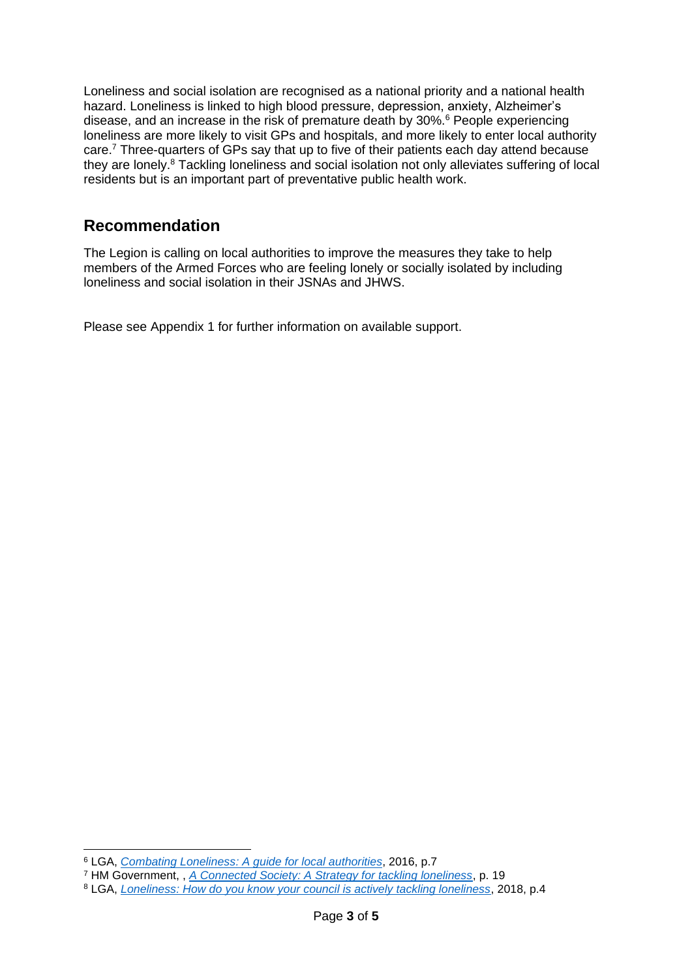Loneliness and social isolation are recognised as a national priority and a national health hazard. Loneliness is linked to high blood pressure, depression, anxiety, Alzheimer's disease, and an increase in the risk of premature death by 30%.<sup>6</sup> People experiencing loneliness are more likely to visit GPs and hospitals, and more likely to enter local authority care.<sup>7</sup> Three-quarters of GPs say that up to five of their patients each day attend because they are lonely.<sup>8</sup> Tackling loneliness and social isolation not only alleviates suffering of local residents but is an important part of preventative public health work.

## **Recommendation**

The Legion is calling on local authorities to improve the measures they take to help members of the Armed Forces who are feeling lonely or socially isolated by including loneliness and social isolation in their JSNAs and JHWS.

Please see Appendix 1 for further information on available support.

<sup>6</sup> LGA, *[Combating Loneliness: A guide for local authorities](https://www.local.gov.uk/combating-loneliness)*, 2016, p.7

<sup>7</sup> HM Government, , *[A Connected Society: A Strategy for tackling loneliness](https://www.gov.uk/government/publications/a-connected-society-a-strategy-for-tackling-loneliness)*, p. 19

<sup>8</sup> LGA, *[Loneliness: How do you know your council is actively tackling loneliness](https://www.local.gov.uk/loneliness-how-do-you-know-your-council-actively-tackling-loneliness)*, 2018, p.4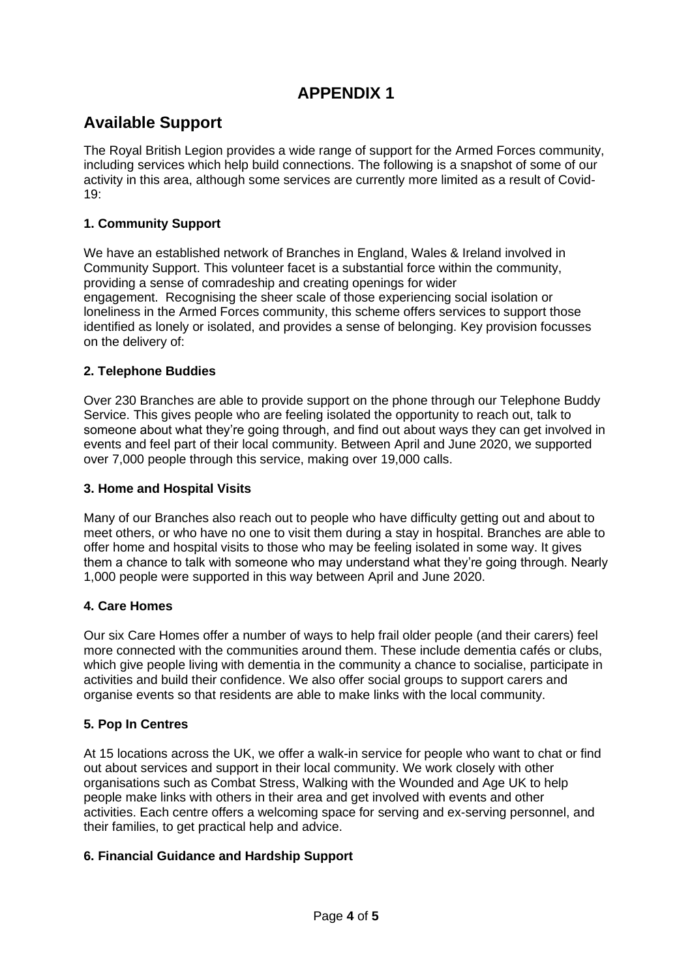# **APPENDIX 1**

# **Available Support**

The Royal British Legion provides a wide range of support for the Armed Forces community, including services which help build connections. The following is a snapshot of some of our activity in this area, although some services are currently more limited as a result of Covid- $19 -$ 

### **1. Community Support**

We have an established network of Branches in England, Wales & Ireland involved in Community Support. This volunteer facet is a substantial force within the community, providing a sense of comradeship and creating openings for wider engagement. Recognising the sheer scale of those experiencing social isolation or loneliness in the Armed Forces community, this scheme offers services to support those identified as lonely or isolated, and provides a sense of belonging. Key provision focusses on the delivery of:

#### **2. Telephone Buddies**

Over 230 Branches are able to provide support on the phone through our Telephone Buddy Service. This gives people who are feeling isolated the opportunity to reach out, talk to someone about what they're going through, and find out about ways they can get involved in events and feel part of their local community. Between April and June 2020, we supported over 7,000 people through this service, making over 19,000 calls.

#### **3. Home and Hospital Visits**

Many of our Branches also reach out to people who have difficulty getting out and about to meet others, or who have no one to visit them during a stay in hospital. Branches are able to offer home and hospital visits to those who may be feeling isolated in some way. It gives them a chance to talk with someone who may understand what they're going through. Nearly 1,000 people were supported in this way between April and June 2020.

#### **4. Care Homes**

Our six Care Homes offer a number of ways to help frail older people (and their carers) feel more connected with the communities around them. These include dementia cafés or clubs, which give people living with dementia in the community a chance to socialise, participate in activities and build their confidence. We also offer social groups to support carers and organise events so that residents are able to make links with the local community.

#### **5. Pop In Centres**

At 15 locations across the UK, we offer a walk-in service for people who want to chat or find out about services and support in their local community. We work closely with other organisations such as Combat Stress, Walking with the Wounded and Age UK to help people make links with others in their area and get involved with events and other activities. Each centre offers a welcoming space for serving and ex-serving personnel, and their families, to get practical help and advice.

#### **6. Financial Guidance and Hardship Support**